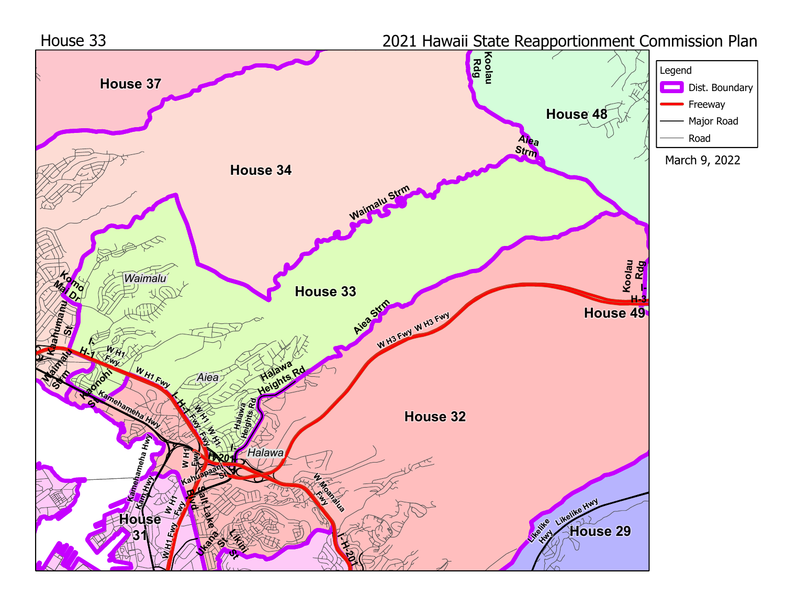